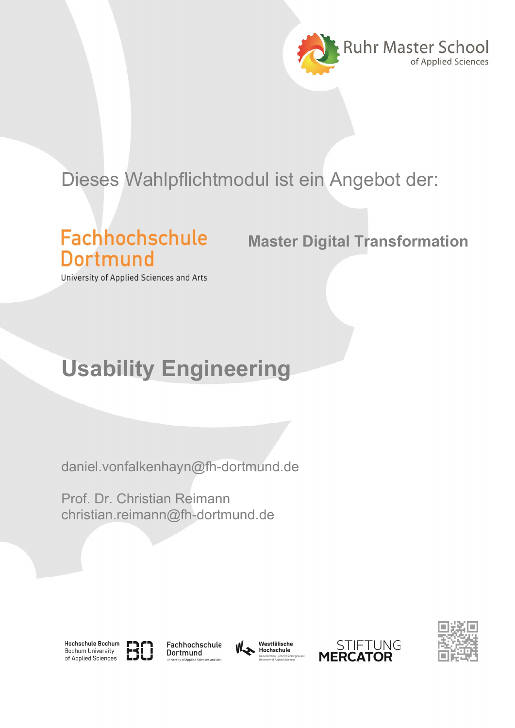

## Dieses Wahlpflichtmodul ist ein Angebot der:

## **Fachhochschule** Dortmund

Master Digital Transformation

University of Applied Sciences and Arts

## Usability Engineering

daniel.vonfalkenhayn@fh-dortmund.de

Prof. Dr. Christian Reimann christian.reimann@fh-dortmund.de





Fachhochschule Dortmund





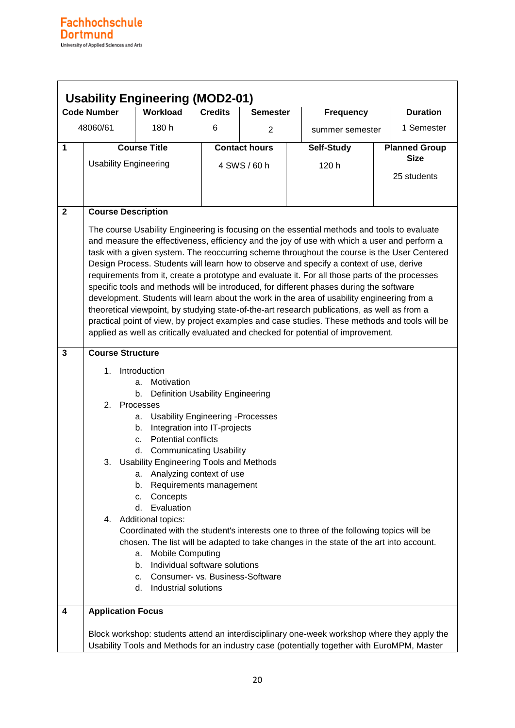| <b>Usability Engineering (MOD2-01)</b> |                                                                                                                                                                                                                                                                                                                                                                                                                                                                                                                                                                                                                                                                                                                                                                                                                                                                                                                                                                          |                                                                                                                                                                                                                                                                                                                                                   |                                                                                                                                                                                                                                                     |                      |                                                                                                                                                                                 |  |                      |  |
|----------------------------------------|--------------------------------------------------------------------------------------------------------------------------------------------------------------------------------------------------------------------------------------------------------------------------------------------------------------------------------------------------------------------------------------------------------------------------------------------------------------------------------------------------------------------------------------------------------------------------------------------------------------------------------------------------------------------------------------------------------------------------------------------------------------------------------------------------------------------------------------------------------------------------------------------------------------------------------------------------------------------------|---------------------------------------------------------------------------------------------------------------------------------------------------------------------------------------------------------------------------------------------------------------------------------------------------------------------------------------------------|-----------------------------------------------------------------------------------------------------------------------------------------------------------------------------------------------------------------------------------------------------|----------------------|---------------------------------------------------------------------------------------------------------------------------------------------------------------------------------|--|----------------------|--|
| <b>Code Number</b><br><b>Workload</b>  |                                                                                                                                                                                                                                                                                                                                                                                                                                                                                                                                                                                                                                                                                                                                                                                                                                                                                                                                                                          |                                                                                                                                                                                                                                                                                                                                                   | <b>Credits</b>                                                                                                                                                                                                                                      | <b>Semester</b>      | <b>Frequency</b>                                                                                                                                                                |  | <b>Duration</b>      |  |
| 48060/61                               |                                                                                                                                                                                                                                                                                                                                                                                                                                                                                                                                                                                                                                                                                                                                                                                                                                                                                                                                                                          | 180 h                                                                                                                                                                                                                                                                                                                                             | 6                                                                                                                                                                                                                                                   | $\overline{2}$       | summer semester                                                                                                                                                                 |  | 1 Semester           |  |
| 1                                      |                                                                                                                                                                                                                                                                                                                                                                                                                                                                                                                                                                                                                                                                                                                                                                                                                                                                                                                                                                          | <b>Course Title</b>                                                                                                                                                                                                                                                                                                                               |                                                                                                                                                                                                                                                     | <b>Contact hours</b> | Self-Study                                                                                                                                                                      |  | <b>Planned Group</b> |  |
|                                        | <b>Usability Engineering</b>                                                                                                                                                                                                                                                                                                                                                                                                                                                                                                                                                                                                                                                                                                                                                                                                                                                                                                                                             |                                                                                                                                                                                                                                                                                                                                                   | 4 SWS / 60 h                                                                                                                                                                                                                                        |                      | 120 h                                                                                                                                                                           |  | <b>Size</b>          |  |
|                                        |                                                                                                                                                                                                                                                                                                                                                                                                                                                                                                                                                                                                                                                                                                                                                                                                                                                                                                                                                                          |                                                                                                                                                                                                                                                                                                                                                   |                                                                                                                                                                                                                                                     |                      |                                                                                                                                                                                 |  | 25 students          |  |
|                                        |                                                                                                                                                                                                                                                                                                                                                                                                                                                                                                                                                                                                                                                                                                                                                                                                                                                                                                                                                                          |                                                                                                                                                                                                                                                                                                                                                   |                                                                                                                                                                                                                                                     |                      |                                                                                                                                                                                 |  |                      |  |
|                                        |                                                                                                                                                                                                                                                                                                                                                                                                                                                                                                                                                                                                                                                                                                                                                                                                                                                                                                                                                                          |                                                                                                                                                                                                                                                                                                                                                   |                                                                                                                                                                                                                                                     |                      |                                                                                                                                                                                 |  |                      |  |
| $\mathbf{2}$                           | <b>Course Description</b>                                                                                                                                                                                                                                                                                                                                                                                                                                                                                                                                                                                                                                                                                                                                                                                                                                                                                                                                                |                                                                                                                                                                                                                                                                                                                                                   |                                                                                                                                                                                                                                                     |                      |                                                                                                                                                                                 |  |                      |  |
|                                        | The course Usability Engineering is focusing on the essential methods and tools to evaluate<br>and measure the effectiveness, efficiency and the joy of use with which a user and perform a<br>task with a given system. The reoccurring scheme throughout the course is the User Centered<br>Design Process. Students will learn how to observe and specify a context of use, derive<br>requirements from it, create a prototype and evaluate it. For all those parts of the processes<br>specific tools and methods will be introduced, for different phases during the software<br>development. Students will learn about the work in the area of usability engineering from a<br>theoretical viewpoint, by studying state-of-the-art research publications, as well as from a<br>practical point of view, by project examples and case studies. These methods and tools will be<br>applied as well as critically evaluated and checked for potential of improvement. |                                                                                                                                                                                                                                                                                                                                                   |                                                                                                                                                                                                                                                     |                      |                                                                                                                                                                                 |  |                      |  |
| $\overline{3}$                         | <b>Course Structure</b>                                                                                                                                                                                                                                                                                                                                                                                                                                                                                                                                                                                                                                                                                                                                                                                                                                                                                                                                                  |                                                                                                                                                                                                                                                                                                                                                   |                                                                                                                                                                                                                                                     |                      |                                                                                                                                                                                 |  |                      |  |
|                                        | 1 <sub>1</sub><br>2.<br>3.                                                                                                                                                                                                                                                                                                                                                                                                                                                                                                                                                                                                                                                                                                                                                                                                                                                                                                                                               | Introduction<br>Motivation<br>a.<br>b.<br>Processes<br>а.<br>b.<br><b>Potential conflicts</b><br>C.<br>d.<br><b>Usability Engineering Tools and Methods</b><br>Analyzing context of use<br>a.<br>b.<br>Concepts<br>c.<br>Evaluation<br>d. I<br>4. Additional topics:<br><b>Mobile Computing</b><br>а.<br>b.<br>c.<br>Industrial solutions<br>d. I | <b>Definition Usability Engineering</b><br><b>Usability Engineering -Processes</b><br>Integration into IT-projects<br><b>Communicating Usability</b><br>Requirements management<br>Individual software solutions<br>Consumer- vs. Business-Software |                      | Coordinated with the student's interests one to three of the following topics will be<br>chosen. The list will be adapted to take changes in the state of the art into account. |  |                      |  |
| 4                                      | <b>Application Focus</b>                                                                                                                                                                                                                                                                                                                                                                                                                                                                                                                                                                                                                                                                                                                                                                                                                                                                                                                                                 |                                                                                                                                                                                                                                                                                                                                                   |                                                                                                                                                                                                                                                     |                      | Block workshop: students attend an interdisciplinary one-week workshop where they apply the                                                                                     |  |                      |  |
|                                        | Usability Tools and Methods for an industry case (potentially together with EuroMPM, Master                                                                                                                                                                                                                                                                                                                                                                                                                                                                                                                                                                                                                                                                                                                                                                                                                                                                              |                                                                                                                                                                                                                                                                                                                                                   |                                                                                                                                                                                                                                                     |                      |                                                                                                                                                                                 |  |                      |  |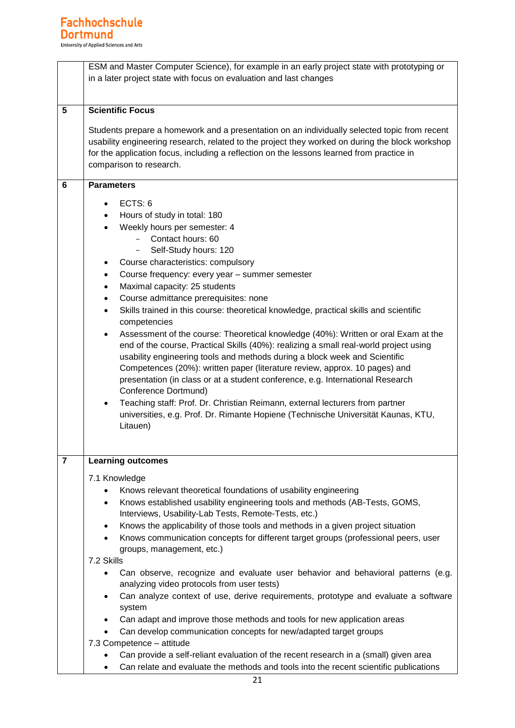|   | ESM and Master Computer Science), for example in an early project state with prototyping or<br>in a later project state with focus on evaluation and last changes                                                                                                                                                                                                                                                                                                                                                                                                                                                                                                                                                                                                                                                                                                                                                                                                                                                                                                                                                            |  |  |  |  |  |  |
|---|------------------------------------------------------------------------------------------------------------------------------------------------------------------------------------------------------------------------------------------------------------------------------------------------------------------------------------------------------------------------------------------------------------------------------------------------------------------------------------------------------------------------------------------------------------------------------------------------------------------------------------------------------------------------------------------------------------------------------------------------------------------------------------------------------------------------------------------------------------------------------------------------------------------------------------------------------------------------------------------------------------------------------------------------------------------------------------------------------------------------------|--|--|--|--|--|--|
| 5 | <b>Scientific Focus</b>                                                                                                                                                                                                                                                                                                                                                                                                                                                                                                                                                                                                                                                                                                                                                                                                                                                                                                                                                                                                                                                                                                      |  |  |  |  |  |  |
|   | Students prepare a homework and a presentation on an individually selected topic from recent<br>usability engineering research, related to the project they worked on during the block workshop<br>for the application focus, including a reflection on the lessons learned from practice in<br>comparison to research.                                                                                                                                                                                                                                                                                                                                                                                                                                                                                                                                                                                                                                                                                                                                                                                                      |  |  |  |  |  |  |
| 6 | <b>Parameters</b>                                                                                                                                                                                                                                                                                                                                                                                                                                                                                                                                                                                                                                                                                                                                                                                                                                                                                                                                                                                                                                                                                                            |  |  |  |  |  |  |
|   | ECTS: 6<br>Hours of study in total: 180<br>Weekly hours per semester: 4<br>$\bullet$<br>Contact hours: 60<br>$ -$<br>Self-Study hours: 120<br>Course characteristics: compulsory<br>Course frequency: every year - summer semester<br>$\bullet$<br>Maximal capacity: 25 students<br>$\bullet$<br>Course admittance prerequisites: none<br>$\bullet$<br>Skills trained in this course: theoretical knowledge, practical skills and scientific<br>$\bullet$<br>competencies<br>Assessment of the course: Theoretical knowledge (40%): Written or oral Exam at the<br>end of the course, Practical Skills (40%): realizing a small real-world project using<br>usability engineering tools and methods during a block week and Scientific<br>Competences (20%): written paper (literature review, approx. 10 pages) and<br>presentation (in class or at a student conference, e.g. International Research<br>Conference Dortmund)<br>Teaching staff: Prof. Dr. Christian Reimann, external lecturers from partner<br>$\bullet$<br>universities, e.g. Prof. Dr. Rimante Hopiene (Technische Universität Kaunas, KTU,<br>Litauen) |  |  |  |  |  |  |
| 7 | <b>Learning outcomes</b>                                                                                                                                                                                                                                                                                                                                                                                                                                                                                                                                                                                                                                                                                                                                                                                                                                                                                                                                                                                                                                                                                                     |  |  |  |  |  |  |
|   |                                                                                                                                                                                                                                                                                                                                                                                                                                                                                                                                                                                                                                                                                                                                                                                                                                                                                                                                                                                                                                                                                                                              |  |  |  |  |  |  |
|   | 7.1 Knowledge<br>Knows relevant theoretical foundations of usability engineering<br>٠                                                                                                                                                                                                                                                                                                                                                                                                                                                                                                                                                                                                                                                                                                                                                                                                                                                                                                                                                                                                                                        |  |  |  |  |  |  |
|   | Knows established usability engineering tools and methods (AB-Tests, GOMS,<br>$\bullet$<br>Interviews, Usability-Lab Tests, Remote-Tests, etc.)                                                                                                                                                                                                                                                                                                                                                                                                                                                                                                                                                                                                                                                                                                                                                                                                                                                                                                                                                                              |  |  |  |  |  |  |
|   | Knows the applicability of those tools and methods in a given project situation<br>$\bullet$<br>Knows communication concepts for different target groups (professional peers, user<br>$\bullet$<br>groups, management, etc.)                                                                                                                                                                                                                                                                                                                                                                                                                                                                                                                                                                                                                                                                                                                                                                                                                                                                                                 |  |  |  |  |  |  |
|   | 7.2 Skills                                                                                                                                                                                                                                                                                                                                                                                                                                                                                                                                                                                                                                                                                                                                                                                                                                                                                                                                                                                                                                                                                                                   |  |  |  |  |  |  |
|   | Can observe, recognize and evaluate user behavior and behavioral patterns (e.g.                                                                                                                                                                                                                                                                                                                                                                                                                                                                                                                                                                                                                                                                                                                                                                                                                                                                                                                                                                                                                                              |  |  |  |  |  |  |
|   | analyzing video protocols from user tests)                                                                                                                                                                                                                                                                                                                                                                                                                                                                                                                                                                                                                                                                                                                                                                                                                                                                                                                                                                                                                                                                                   |  |  |  |  |  |  |
|   | Can analyze context of use, derive requirements, prototype and evaluate a software<br>$\bullet$<br>system                                                                                                                                                                                                                                                                                                                                                                                                                                                                                                                                                                                                                                                                                                                                                                                                                                                                                                                                                                                                                    |  |  |  |  |  |  |
|   | Can adapt and improve those methods and tools for new application areas                                                                                                                                                                                                                                                                                                                                                                                                                                                                                                                                                                                                                                                                                                                                                                                                                                                                                                                                                                                                                                                      |  |  |  |  |  |  |
|   | Can develop communication concepts for new/adapted target groups                                                                                                                                                                                                                                                                                                                                                                                                                                                                                                                                                                                                                                                                                                                                                                                                                                                                                                                                                                                                                                                             |  |  |  |  |  |  |
|   | 7.3 Competence - attitude                                                                                                                                                                                                                                                                                                                                                                                                                                                                                                                                                                                                                                                                                                                                                                                                                                                                                                                                                                                                                                                                                                    |  |  |  |  |  |  |
|   | Can provide a self-reliant evaluation of the recent research in a (small) given area<br>Can relate and evaluate the methods and tools into the recent scientific publications                                                                                                                                                                                                                                                                                                                                                                                                                                                                                                                                                                                                                                                                                                                                                                                                                                                                                                                                                |  |  |  |  |  |  |